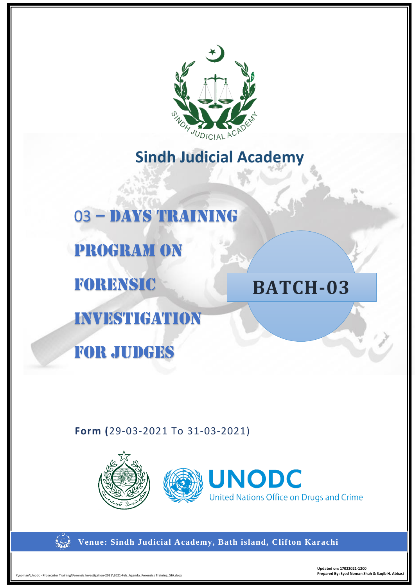

# **Sindh Judicial Academy**



## **Form (**29-03-2021 To 31-03-2021)





**Venue: Sindh Judicial Academy, Bath island, Clifton Karachi**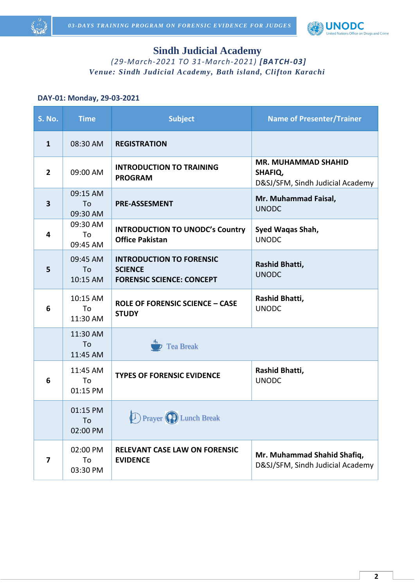



## **Sindh Judicial Academy**

*(29-March-2021 TO 31-March-2021) [BATCH-03] Venue: Sindh Judicial Academy, Bath island, Clifton Karachi*

#### **DAY-01: Monday, 29-03-2021**

| S. No.         | <b>Time</b>                | <b>Subject</b>                                                                        | <b>Name of Presenter/Trainer</b>                                          |
|----------------|----------------------------|---------------------------------------------------------------------------------------|---------------------------------------------------------------------------|
| $\mathbf{1}$   | 08:30 AM                   | <b>REGISTRATION</b>                                                                   |                                                                           |
| $\overline{2}$ | 09:00 AM                   | <b>INTRODUCTION TO TRAINING</b><br><b>PROGRAM</b>                                     | <b>MR. MUHAMMAD SHAHID</b><br>SHAFIQ,<br>D&SJ/SFM, Sindh Judicial Academy |
| 3              | 09:15 AM<br>To<br>09:30 AM | <b>PRE-ASSESMENT</b>                                                                  | Mr. Muhammad Faisal,<br><b>UNODC</b>                                      |
| 4              | 09:30 AM<br>To<br>09:45 AM | <b>INTRODUCTION TO UNODC's Country</b><br><b>Office Pakistan</b>                      | Syed Waqas Shah,<br><b>UNODC</b>                                          |
| 5              | 09:45 AM<br>To<br>10:15 AM | <b>INTRODUCTION TO FORENSIC</b><br><b>SCIENCE</b><br><b>FORENSIC SCIENCE: CONCEPT</b> | Rashid Bhatti,<br><b>UNODC</b>                                            |
| 6              | 10:15 AM<br>To<br>11:30 AM | <b>ROLE OF FORENSIC SCIENCE - CASE</b><br><b>STUDY</b>                                | Rashid Bhatti,<br><b>UNODC</b>                                            |
|                | 11:30 AM<br>To<br>11:45 AM | <b>Tea Break</b>                                                                      |                                                                           |
| 6              | 11:45 AM<br>To<br>01:15 PM | <b>TYPES OF FORENSIC EVIDENCE</b>                                                     | Rashid Bhatti,<br><b>UNODC</b>                                            |
|                | 01:15 PM<br>To<br>02:00 PM | <b>D</b> Prayer (P) Lunch Break                                                       |                                                                           |
| 7              | 02:00 PM<br>To<br>03:30 PM | <b>RELEVANT CASE LAW ON FORENSIC</b><br><b>EVIDENCE</b>                               | Mr. Muhammad Shahid Shafiq,<br>D&SJ/SFM, Sindh Judicial Academy           |